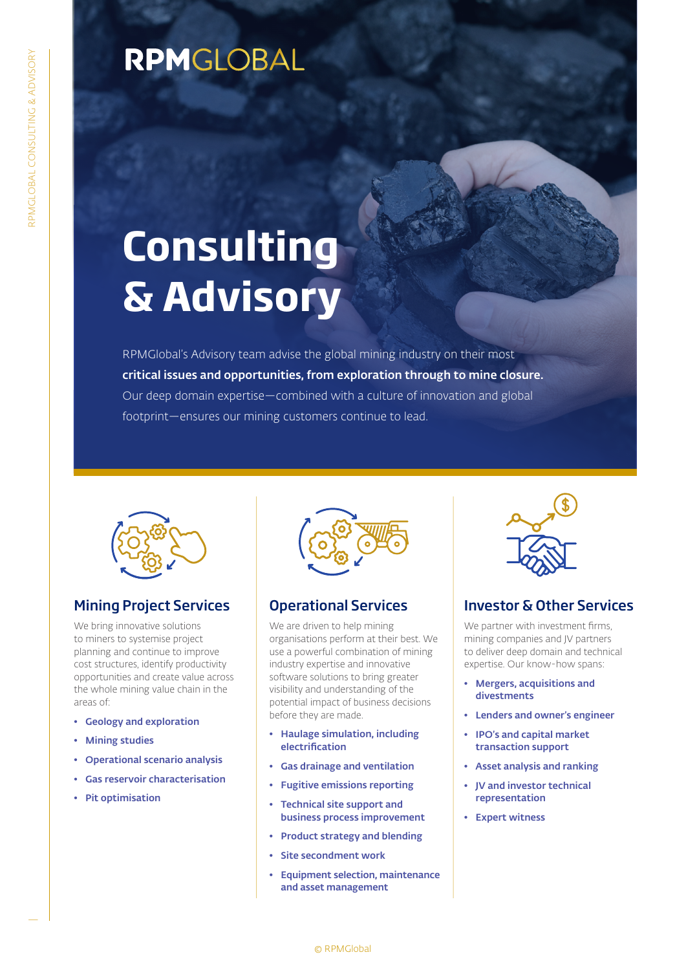### RPMGLOBAL

# **Consulting & Advisory**

RPMGlobal's Advisory team advise the global mining industry on their most critical issues and opportunities, from exploration through to mine closure. Our deep domain expertise—combined with a culture of innovation and global footprint—ensures our mining customers continue to lead.



#### Mining Project Services

We bring innovative solutions to miners to systemise project planning and continue to improve cost structures, identify productivity opportunities and create value across the whole mining value chain in the areas of:

- Geology and exploration
- Mining studies
- Operational scenario analysis
- Gas reservoir characterisation
- Pit optimisation



#### Operational Services

We are driven to help mining organisations perform at their best. We use a powerful combination of mining industry expertise and innovative software solutions to bring greater visibility and understanding of the potential impact of business decisions before they are made.

- Haulage simulation, including electrification
- Gas drainage and ventilation
- Fugitive emissions reporting
- Technical site support and business process improvement
- Product strategy and blending
- Site secondment work
- Equipment selection, maintenance and asset management



#### Investor & Other Services

We partner with investment firms, mining companies and JV partners to deliver deep domain and technical expertise. Our know-how spans:

- Mergers, acquisitions and divestments
- Lenders and owner's engineer
- IPO's and capital market transaction support
- Asset analysis and ranking
- JV and investor technical representation
- Expert witness